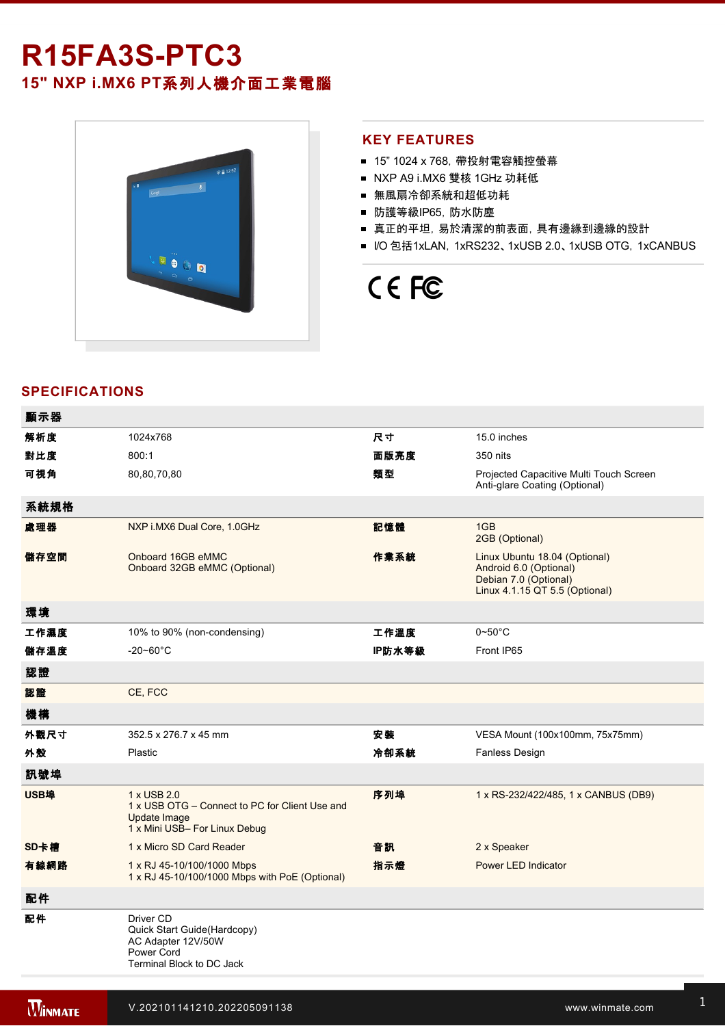# **R15FA3S-PTC3**

**15" NXP i.MX6 PT**系列人機介面工業電腦



## **KEY FEATURES**

- 15" 1024 x 768, 帶投射電容觸控螢幕
- NXP A9 i.MX6 雙核 1GHz 功耗低
- 無風扇冷卻系統和超低功耗
- 防護等級IP65, 防水防塵
- 真正的平坦,易於清潔的前表面,具有邊緣到邊緣的設計
- I/O 包括1xLAN, 1xRS232、1xUSB 2.0、1xUSB OTG, 1xCANBUS

# CE FC

# **SPECIFICATIONS**

| 顯示器  |                                                                                                                |        |                                                                                                                    |
|------|----------------------------------------------------------------------------------------------------------------|--------|--------------------------------------------------------------------------------------------------------------------|
| 解析度  | 1024x768                                                                                                       | 尺寸     | 15.0 inches                                                                                                        |
| 對比度  | 800:1                                                                                                          | 面版亮度   | 350 nits                                                                                                           |
| 可視角  | 80,80,70,80                                                                                                    | 類型     | Projected Capacitive Multi Touch Screen<br>Anti-glare Coating (Optional)                                           |
| 系統規格 |                                                                                                                |        |                                                                                                                    |
| 處理器  | NXP i.MX6 Dual Core, 1.0GHz                                                                                    | 記憶體    | 1GB<br>2GB (Optional)                                                                                              |
| 儲存空間 | Onboard 16GB eMMC<br>Onboard 32GB eMMC (Optional)                                                              | 作業系統   | Linux Ubuntu 18.04 (Optional)<br>Android 6.0 (Optional)<br>Debian 7.0 (Optional)<br>Linux 4.1.15 QT 5.5 (Optional) |
| 環境   |                                                                                                                |        |                                                                                                                    |
| 工作濕度 | 10% to 90% (non-condensing)                                                                                    | 工作溫度   | $0 - 50$ °C                                                                                                        |
| 儲存溫度 | $-20 - 60^{\circ}$ C                                                                                           | IP防水等級 | Front IP65                                                                                                         |
| 認證   |                                                                                                                |        |                                                                                                                    |
| 認證   | CE, FCC                                                                                                        |        |                                                                                                                    |
| 機構   |                                                                                                                |        |                                                                                                                    |
| 外觀尺寸 | 352.5 x 276.7 x 45 mm                                                                                          | 安装     | VESA Mount (100x100mm, 75x75mm)                                                                                    |
| 外殼   | Plastic                                                                                                        | 冷卻系統   | Fanless Design                                                                                                     |
| 訊號埠  |                                                                                                                |        |                                                                                                                    |
| USB埠 | 1 x USB 2.0<br>1 x USB OTG – Connect to PC for Client Use and<br>Update Image<br>1 x Mini USB- For Linux Debug | 序列埠    | 1 x RS-232/422/485, 1 x CANBUS (DB9)                                                                               |
| SD卡槽 | 1 x Micro SD Card Reader                                                                                       | 音訊     | 2 x Speaker                                                                                                        |
| 有線網路 | 1 x RJ 45-10/100/1000 Mbps<br>1 x RJ 45-10/100/1000 Mbps with PoE (Optional)                                   | 指示燈    | <b>Power LED Indicator</b>                                                                                         |
| 配件   |                                                                                                                |        |                                                                                                                    |
| 配件   | Driver CD<br>Quick Start Guide(Hardcopy)<br>AC Adapter 12V/50W<br>Power Cord<br>Terminal Block to DC Jack      |        |                                                                                                                    |

電源

控制